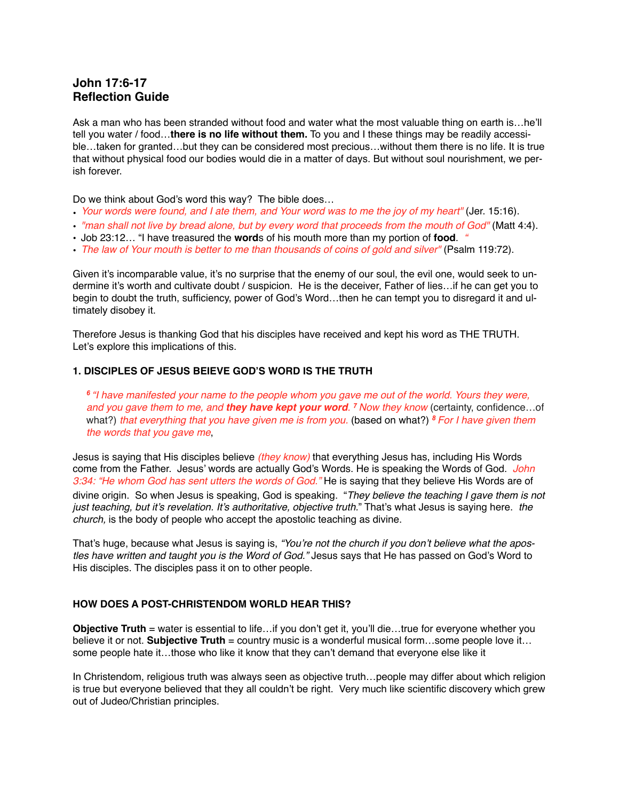# **John 17:6-17 Reflection Guide**

Ask a man who has been stranded without food and water what the most valuable thing on earth is…he'll tell you water / food…**there is no life without them.** To you and I these things may be readily accessible…taken for granted…but they can be considered most precious…without them there is no life. It is true that without physical food our bodies would die in a matter of days. But without soul nourishment, we perish forever.

Do we think about God's word this way? The bible does…

- *Your words were found, and I ate them, and Your word was to me the joy of my heart"* (Jer. 15:16).
- *"man shall not live by bread alone, but by every word that proceeds from the mouth of God"* (Matt 4:4).
- Job 23:12… "I have treasured the **word**s of his mouth more than my portion of **food**. *"*
- *The law of Your mouth is better to me than thousands of coins of gold and silver"* (Psalm 119:72).

Given it's incomparable value, it's no surprise that the enemy of our soul, the evil one, would seek to undermine it's worth and cultivate doubt / suspicion. He is the deceiver, Father of lies…if he can get you to begin to doubt the truth, sufficiency, power of God's Word…then he can tempt you to disregard it and ultimately disobey it.

Therefore Jesus is thanking God that his disciples have received and kept his word as THE TRUTH. Let's explore this implications of this.

## **1. DISCIPLES OF JESUS BEIEVE GOD'S WORD IS THE TRUTH**

*<sup>6</sup>"I have manifested your name to the people whom you gave me out of the world. Yours they were, and you gave them to me, and they have kept your word. <sup>7</sup>Now they know* (certainty, confidence…of what?) *that everything that you have given me is from you.* (based on what?) *<sup>8</sup>For I have given them the words that you gave me*,

Jesus is saying that His disciples believe *(they know)* that everything Jesus has, including His Words [come from the Father. Jesus' words are actually God's Words. He is speaking the Words of God.](http://biblia.com/bible/esv/John%25203.34) *John 3:34: "He whom God has sent utters the words of God."* He is saying that they believe His Words are of divine origin. So when Jesus is speaking, God is speaking. "*They believe the teaching I gave them is not just teaching, but it's revelation. It's authoritative, objective truth.*" That's what Jesus is saying here. *the church,* is the body of people who accept the apostolic teaching as divine.

That's huge, because what Jesus is saying is, *"You're not the church if you don't believe what the apostles have written and taught you is the Word of God."* Jesus says that He has passed on God's Word to His disciples. The disciples pass it on to other people.

## **HOW DOES A POST-CHRISTENDOM WORLD HEAR THIS?**

**Objective Truth** = water is essential to life...if you don't get it, you'll die...true for everyone whether you believe it or not. **Subjective Truth** = country music is a wonderful musical form...some people love it... some people hate it…those who like it know that they can't demand that everyone else like it

In Christendom, religious truth was always seen as objective truth…people may differ about which religion is true but everyone believed that they all couldn't be right. Very much like scientific discovery which grew out of Judeo/Christian principles.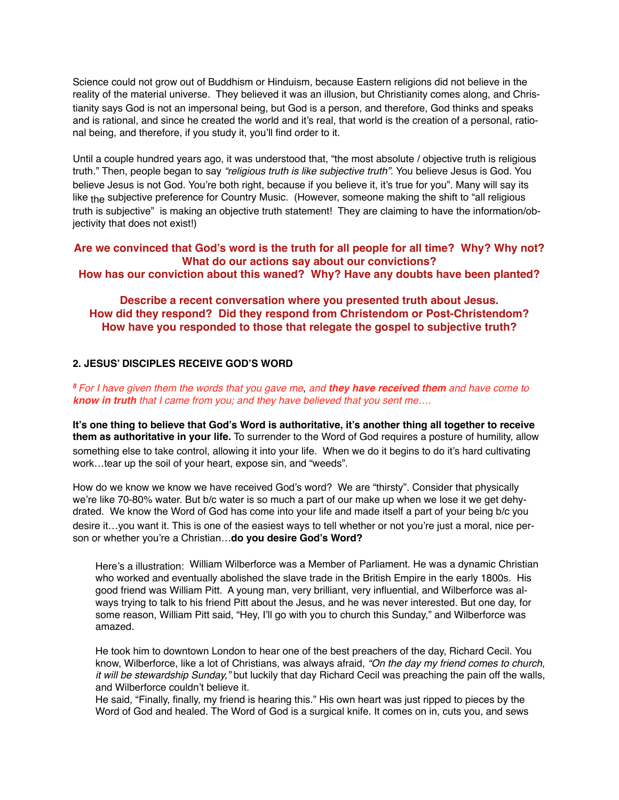Science could not grow out of Buddhism or Hinduism, because Eastern religions did not believe in the reality of the material universe. They believed it was an illusion, but Christianity comes along, and Christianity says God is not an impersonal being, but God is a person, and therefore, God thinks and speaks and is rational, and since he created the world and it's real, that world is the creation of a personal, rational being, and therefore, if you study it, you'll find order to it.

Until a couple hundred years ago, it was understood that, "the most absolute / objective truth is religious truth." Then, people began to say *"religious truth is like subjective truth"*. You believe Jesus is God. You believe Jesus is not God. You're both right, because if you believe it, it's true for you". Many will say its like the subjective preference for Country Music. (However, someone making the shift to "all religious truth is subjective" is making an objective truth statement! They are claiming to have the information/objectivity that does not exist!)

**Are we convinced that God's word is the truth for all people for all time? Why? Why not? What do our actions say about our convictions? How has our conviction about this waned? Why? Have any doubts have been planted?**

**Describe a recent conversation where you presented truth about Jesus. How did they respond? Did they respond from Christendom or Post-Christendom? How have you responded to those that relegate the gospel to subjective truth?**

# **2. JESUS' DISCIPLES RECEIVE GOD'S WORD**

*<sup>8</sup>For I have given them the words that you gave me*, *and they have received them and have come to know in truth that I came from you; and they have believed that you sent me….*

**It's one thing to believe that God's Word is authoritative, it's another thing all together to receive them as authoritative in your life.** To surrender to the Word of God requires a posture of humility, allow something else to take control, allowing it into your life. When we do it begins to do it's hard cultivating work…tear up the soil of your heart, expose sin, and "weeds".

How do we know we know we have received God's word? We are "thirsty". Consider that physically we're like 70-80% water. But b/c water is so much a part of our make up when we lose it we get dehydrated. We know the Word of God has come into your life and made itself a part of your being b/c you desire it…you want it. This is one of the easiest ways to tell whether or not you're just a moral, nice person or whether you're a Christian…**do you desire God's Word?**

Here's a illustration: William Wilberforce was a Member of Parliament. He was a dynamic Christian who worked and eventually abolished the slave trade in the British Empire in the early 1800s. His good friend was William Pitt. A young man, very brilliant, very influential, and Wilberforce was always trying to talk to his friend Pitt about the Jesus, and he was never interested. But one day, for some reason, William Pitt said, "Hey, I'll go with you to church this Sunday," and Wilberforce was amazed.

He took him to downtown London to hear one of the best preachers of the day, Richard Cecil. You know, Wilberforce, like a lot of Christians, was always afraid, *"On the day my friend comes to church, it will be stewardship Sunday,"* but luckily that day Richard Cecil was preaching the pain off the walls, and Wilberforce couldn't believe it.

He said, "Finally, finally, my friend is hearing this." His own heart was just ripped to pieces by the Word of God and healed. The Word of God is a surgical knife. It comes on in, cuts you, and sews